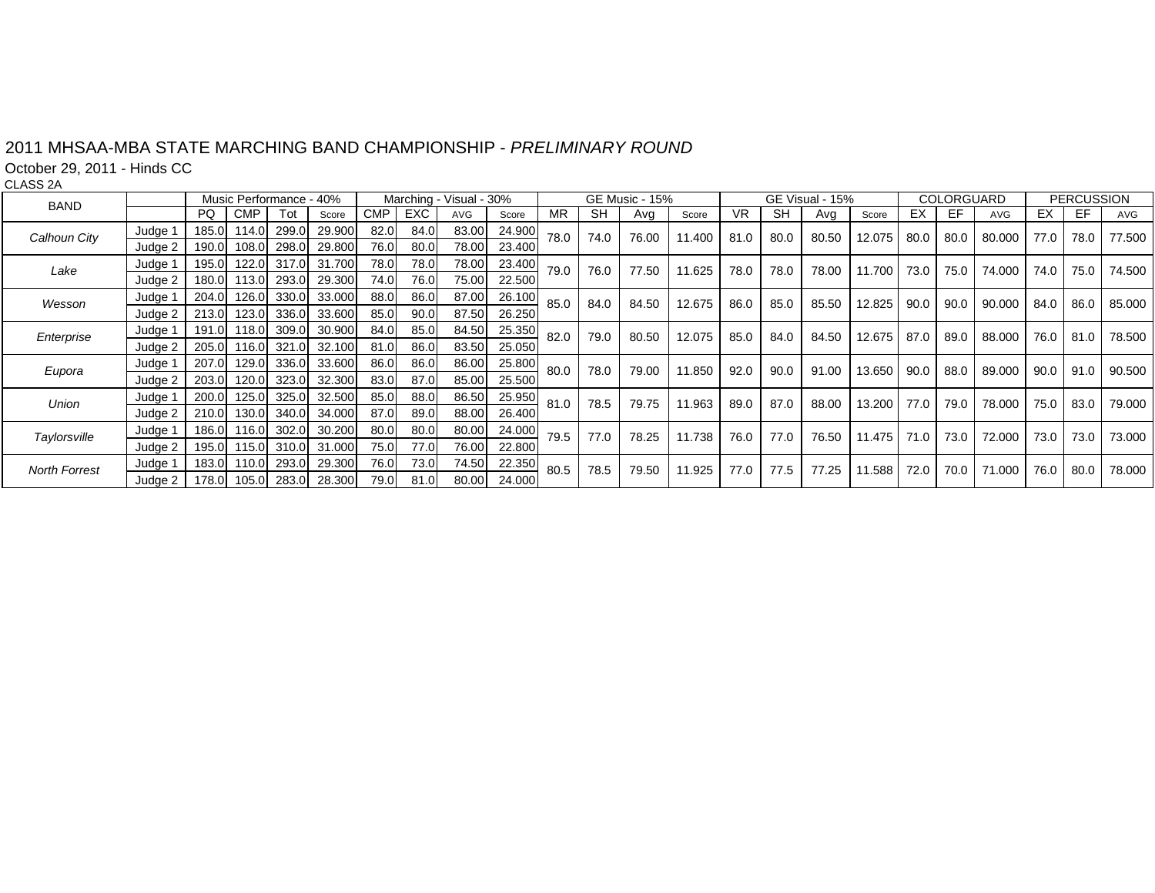## 2011 MHSAA-MBA STATE MARCHING BAND CHAMPIONSHIP - *PRELIMINARY ROUND*

October 29, 2011 - Hinds CC

CLASS 2A

| <b>BAND</b>          |                    |       | Music Performance - 40% |             |        |            | Marching - Visual - 30% |       |        |           | GE Music - 15% |       |        | GE Visual - 15% |           |       |        | COLORGUARD |      |            | <b>PERCUSSION</b> |      |        |
|----------------------|--------------------|-------|-------------------------|-------------|--------|------------|-------------------------|-------|--------|-----------|----------------|-------|--------|-----------------|-----------|-------|--------|------------|------|------------|-------------------|------|--------|
|                      |                    | PQ.   | <b>CMP</b>              | Tot         | Score  | <b>CMP</b> | <b>EXC</b>              | AVG   | Score  | <b>MR</b> | <b>SH</b>      | Avg   | Score  | VR.             | <b>SH</b> | Ava   | Score  | EX         | EF.  | <b>AVG</b> | EX                | EF   | AVG    |
| Calhoun City         | Judge 1            | 185.0 | 114.0                   | 299.0       | 29.900 | 82.0       | 84.0                    | 83.00 | 24.900 | 78.0      | 74.0           | 76.00 | 11.400 | 81.0            | 80.0      | 80.50 | 12.075 | 80.0       | 80.0 | 80.000     | 77.0              | 78.0 | 77.500 |
|                      | Judge 2            | 190.0 | 108.0                   | 298.0       | 29.800 | 76.0       | 80.0                    | 78.00 | 23.400 |           |                |       |        |                 |           |       |        |            |      |            |                   |      |        |
| Lake                 | Judge <sup>1</sup> | 195.0 |                         | 122.0 317.0 | 31.700 | 78.0       | 78.0                    | 78.00 | 23.400 | 79.0      | 76.0           | 77.50 | 11.625 | 78.0            | 78.0      | 78.00 | 11.700 | 73.0       | 75.0 | 74.000     | 74.0              | 75.0 | 74.500 |
|                      | Judge 2            | 180.0 | 113.0                   | 293.0       | 29.300 | 74.0       | 76.0                    | 75.00 | 22.500 |           |                |       |        |                 |           |       |        |            |      |            |                   |      |        |
| Wesson               | Judge 1            | 204.0 | 126.0                   | 330.0       | 33.000 | 88.0       | 86.0                    | 87.00 | 26.100 | 85.0      | 84.0           | 84.50 | 12.675 | 86.0            | 85.0      | 85.50 | 12.825 | 90.0       | 90.0 | 90.000     | 84.0              | 86.0 | 85,000 |
|                      | Judge 2            | 213.0 | 123.0                   | 336.0       | 33.600 | 85.0       | 90.0                    | 87.50 | 26.250 |           |                |       |        |                 |           |       |        |            |      |            |                   |      |        |
| Enterprise           | Judge 1            | 191.0 | 118.0                   | 309.0       | 30.900 | 84.0       | 85.0                    | 84.50 | 25.350 | 82.0      | 79.0           | 80.50 | 12.075 | 85.0            | 84.0      | 84.50 | 12.675 | 87.0       | 89.0 | 88.000     | 76.0              | 81.0 | 78.500 |
|                      | Judge 2            | 205.0 |                         | 116.0 321.0 | 32.100 | 81.0       | 86.0                    | 83.50 | 25.050 |           |                |       |        |                 |           |       |        |            |      |            |                   |      |        |
| Eupora               | Judge 1            | 207.0 | 129.0                   | 336.0       | 33.600 | 86.0       | 86.0                    | 86.00 | 25.800 | 80.0      | 78.0           | 79.00 | 11.850 | 92.0            | 90.0      | 91.00 | 13.650 | 90.0       | 88.0 | 89.000     | 90.0              | 91.0 | 90.500 |
|                      | Judge 2            | 203.0 | 120.0                   | 323.0       | 32.300 | 83.0       | 87.0                    | 85.00 | 25.500 |           |                |       |        |                 |           |       |        |            |      |            |                   |      |        |
| Union                | Judge 1            | 200.0 | 125.0                   | 325.0       | 32.500 | 85.0       | 88.0                    | 86.50 | 25.950 | 81.0      | 78.5           | 79.75 | 11.963 | 89.0            | 87.0      | 88.00 | 13.200 | 77.0       | 79.0 | 78,000     | 75.0              | 83.0 | 79.000 |
|                      | Judge 2            | 210.0 | 130.0                   | 340.0       | 34.000 | 87.0       | 89.0                    | 88.00 | 26.400 |           |                |       |        |                 |           |       |        |            |      |            |                   |      |        |
| Taylorsville         | Judge 1            | 186.0 | 116.0                   | 302.0       | 30.200 | 80.0       | 80.0                    | 80.00 | 24.000 | 79.5      | 77.0           | 78.25 | 11.738 | 76.0            | 77.0      | 76.50 | 11.475 | 71.0       | 73.0 | 72.000     | 73.0              | 73.0 | 73.000 |
|                      | Judge 2            | 195.0 |                         | 115.0 310.0 | 31.000 | 75.0       | 77.0                    | 76.00 | 22.800 |           |                |       |        |                 |           |       |        |            |      |            |                   |      |        |
| <b>North Forrest</b> | Judge <sup>-</sup> | 183.0 | 110.0                   | 293.0       | 29.300 | 76.0       | 73.0                    | 74.50 | 22.350 | 80.5      | 78.5           | 79.50 | 11.925 | 77.0            | 77.5      | 77.25 | 11.588 | 72.0       | 70.0 | 71.000     | 76.0              | 80.0 | 78.000 |
|                      | Judge 2            | 178.0 | 105.0                   | 283.0       | 28.300 | 79.0       | 81.0                    | 80.00 | 24.000 |           |                |       |        |                 |           |       |        |            |      |            |                   |      |        |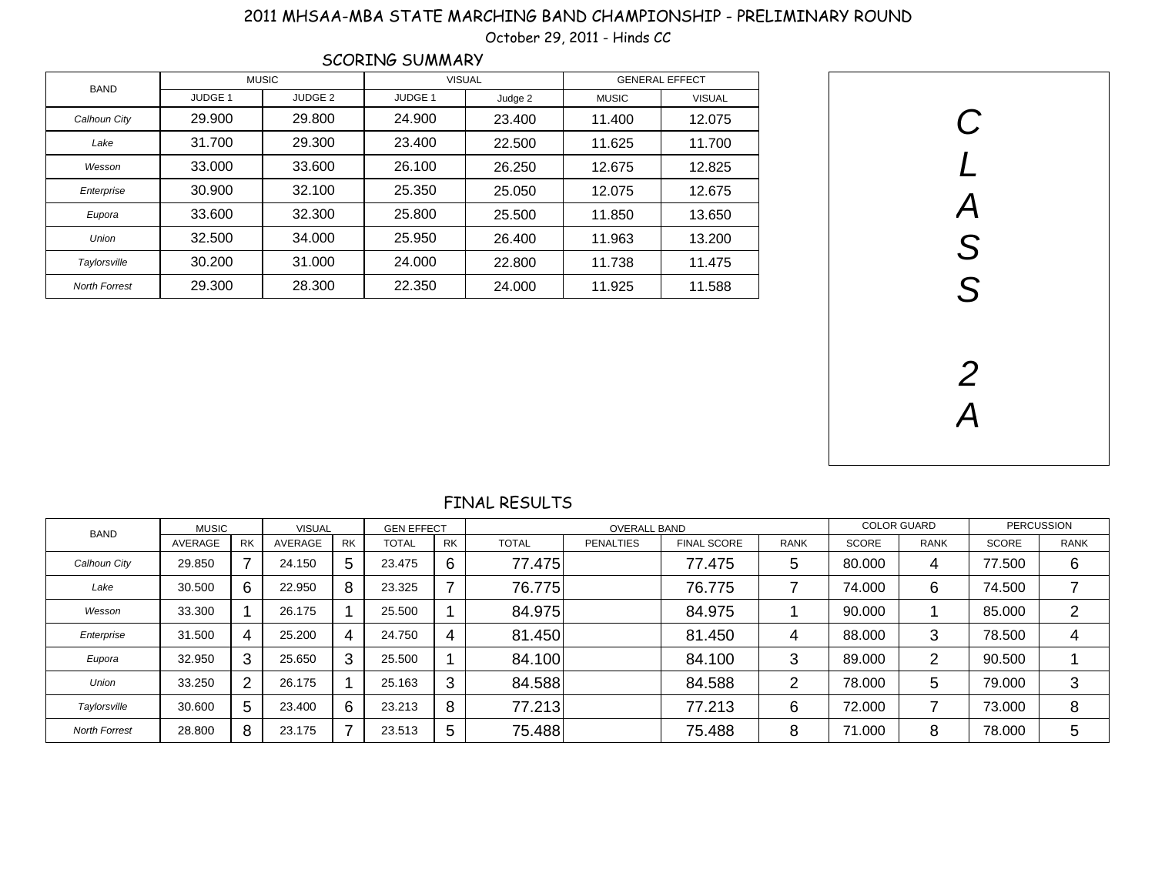## 2011 MHSAA-MBA STATE MARCHING BAND CHAMPIONSHIP - PRELIMINARY ROUND

October 29, 2011 - Hinds CC

| <b>SCORING SUMMARY</b> |                    |                    |                    |         |                       |               |  |  |  |  |  |
|------------------------|--------------------|--------------------|--------------------|---------|-----------------------|---------------|--|--|--|--|--|
| <b>BAND</b>            |                    | <b>MUSIC</b>       | <b>VISUAL</b>      |         | <b>GENERAL EFFECT</b> |               |  |  |  |  |  |
|                        | JUDGE <sub>1</sub> | JUDGE <sub>2</sub> | JUDGE <sub>1</sub> | Judge 2 | <b>MUSIC</b>          | <b>VISUAL</b> |  |  |  |  |  |
| Calhoun City           | 29,900             | 29,800             | 24.900             | 23.400  | 11.400                | 12.075        |  |  |  |  |  |
| Lake                   | 31.700             | 29,300             | 23,400             | 22,500  | 11.625                | 11.700        |  |  |  |  |  |
| Wesson                 | 33,000             | 33,600             | 26.100             | 26.250  | 12.675                | 12.825        |  |  |  |  |  |
| Enterprise             | 30,900             | 32.100             | 25.350             | 25,050  | 12.075                | 12.675        |  |  |  |  |  |
| Eupora                 | 33.600             | 32,300             | 25,800             | 25,500  | 11.850                | 13.650        |  |  |  |  |  |
| <b>Union</b>           | 32.500             | 34.000             | 25.950             | 26.400  | 11.963                | 13.200        |  |  |  |  |  |
| Taylorsville           | 30.200             | 31,000             | 24.000             | 22,800  | 11.738                | 11.475        |  |  |  |  |  |
| <b>North Forrest</b>   | 29.300             | 28,300             | 22.350             | 24,000  | 11.925                | 11.588        |  |  |  |  |  |



## FINAL RESULTS

| <b>BAND</b>          | <b>MUSIC</b> |                | <b>VISUAL</b> |    | <b>GEN EFFECT</b> |           |              | <b>OVERALL BAND</b> |                    | <b>COLOR GUARD</b> |              | <b>PERCUSSION</b> |              |             |
|----------------------|--------------|----------------|---------------|----|-------------------|-----------|--------------|---------------------|--------------------|--------------------|--------------|-------------------|--------------|-------------|
|                      | AVERAGE      | <b>RK</b>      | AVERAGE       | RK | <b>TOTAL</b>      | <b>RK</b> | <b>TOTAL</b> | <b>PENALTIES</b>    | <b>FINAL SCORE</b> | <b>RANK</b>        | <b>SCORE</b> | <b>RANK</b>       | <b>SCORE</b> | <b>RANK</b> |
| Calhoun City         | 29.850       | ⇁              | 24.150        | 5  | 23.475            | 6         | 77.475       |                     | 77.475             | 5                  | 80,000       | 4                 | 77.500       | 6           |
| Lake                 | 30.500       | 6              | 22.950        | 8  | 23.325            | ⇁         | 76.775       |                     | 76.775             |                    | 74.000       | 6                 | 74.500       |             |
| Wesson               | 33.300       |                | 26.175        |    | 25.500            |           | 84.975       |                     | 84.975             |                    | 90.000       |                   | 85,000       | ⌒           |
| Enterprise           | 31.500       | 4              | 25.200        | 4  | 24.750            | 4         | 81.450       |                     | 81.450             | 4                  | 88,000       | 3                 | 78.500       | 4           |
| Eupora               | 32.950       | 3              | 25.650        |    | 25.500            |           | 84.100       |                     | 84.100             | 3                  | 89,000       | ∩                 | 90.500       |             |
| Union                | 33.250       | $\overline{2}$ | 26.175        |    | 25.163            | 3         | 84.588       |                     | 84.588             | ◠                  | 78,000       | 5                 | 79.000       | 3           |
| Taylorsville         | 30.600       | 5              | 23.400        | 6  | 23.213            | 8         | 77.213       |                     | 77.213             | 6                  | 72.000       |                   | 73.000       | 8           |
| <b>North Forrest</b> | 28.800       | 8              | 23.175        |    | 23.513            | 5         | 75.488       |                     | 75.488             | 8                  | 71.000       |                   | 78,000       | 5           |